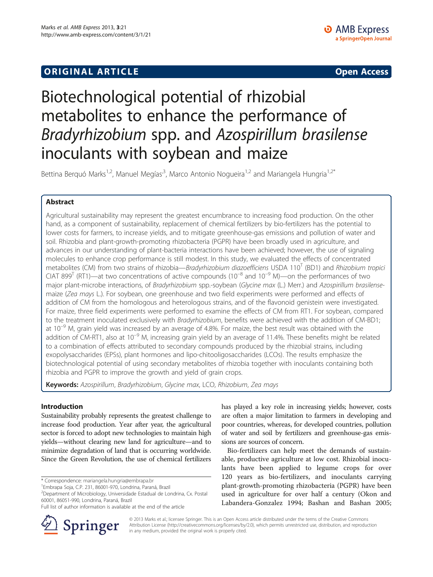## **ORIGINAL ARTICLE CONSUMING A LIGACION** CONSUMING A LIGACION CONSUMING A LIGACION CONSUMING A LIGACION CONSUMING A LIGACION CONSUMING A LIGACION CONSUMING A LIGACION CONSUMING A LIGACION CONSUMING A LIGACION CONSUMING A

# Biotechnological potential of rhizobial metabolites to enhance the performance of Bradyrhizobium spp. and Azospirillum brasilense inoculants with soybean and maize

Bettina Berguó Marks<sup>1,2</sup>, Manuel Megías<sup>,3</sup>, Marco Antonio Nogueira<sup>1,2</sup> and Mariangela Hungria<sup>1,2\*</sup>

## Abstract

Agricultural sustainability may represent the greatest encumbrance to increasing food production. On the other hand, as a component of sustainability, replacement of chemical fertilizers by bio-fertilizers has the potential to lower costs for farmers, to increase yields, and to mitigate greenhouse-gas emissions and pollution of water and soil. Rhizobia and plant-growth-promoting rhizobacteria (PGPR) have been broadly used in agriculture, and advances in our understanding of plant-bacteria interactions have been achieved; however, the use of signaling molecules to enhance crop performance is still modest. In this study, we evaluated the effects of concentrated metabolites (CM) from two strains of rhizobia—Bradyrhizobium diazoefficiens USDA  $110^{\text{T}}$  (BD1) and Rhizobium tropici CIAT 899<sup>T</sup> (RT1)—at two concentrations of active compounds (10<sup>-8</sup> and 10<sup>-9</sup> M)—on the performances of two major plant-microbe interactions, of Bradyrhizobium spp.-soybean (Glycine max (L.) Merr.) and Azospirillum brasilensemaize (Zea mays L.). For soybean, one greenhouse and two field experiments were performed and effects of addition of CM from the homologous and heterologous strains, and of the flavonoid genistein were investigated. For maize, three field experiments were performed to examine the effects of CM from RT1. For soybean, compared to the treatment inoculated exclusively with Bradyrhizobium, benefits were achieved with the addition of CM-BD1; at  $10^{-9}$  M, grain yield was increased by an average of 4.8%. For maize, the best result was obtained with the addition of CM-RT1, also at  $10^{-9}$  M, increasing grain yield by an average of 11.4%. These benefits might be related to a combination of effects attributed to secondary compounds produced by the rhizobial strains, including exopolysaccharides (EPSs), plant hormones and lipo-chitooligosaccharides (LCOs). The results emphasize the biotechnological potential of using secondary metabolites of rhizobia together with inoculants containing both rhizobia and PGPR to improve the growth and yield of grain crops.

Keywords: Azospirillum, Bradyrhizobium, Glycine max, LCO, Rhizobium, Zea mays

## Introduction

Sustainability probably represents the greatest challenge to increase food production. Year after year, the agricultural sector is forced to adopt new technologies to maintain high yields—without clearing new land for agriculture—and to minimize degradation of land that is occurring worldwide. Since the Green Revolution, the use of chemical fertilizers

\* Correspondence: [mariangela.hungria@embrapa.br](mailto:mariangela.hungria@embrapa.br) <sup>1</sup>

Full list of author information is available at the end of the article



has played a key role in increasing yields; however, costs are often a major limitation to farmers in developing and poor countries, whereas, for developed countries, pollution of water and soil by fertilizers and greenhouse-gas emissions are sources of concern.

Bio-fertilizers can help meet the demands of sustainable, productive agriculture at low cost. Rhizobial inoculants have been applied to legume crops for over 120 years as bio-fertilizers, and inoculants carrying plant-growth-promoting rhizobacteria (PGPR) have been used in agriculture for over half a century (Okon and Labandera-Gonzalez [1994;](#page-8-0) Bashan and Bashan [2005](#page-8-0);

© 2013 Marks et al.; licensee Springer. This is an Open Access article distributed under the terms of the Creative Commons Attribution License [\(http://creativecommons.org/licenses/by/2.0\)](http://creativecommons.org/licenses/by/2.0), which permits unrestricted use, distribution, and reproduction in any medium, provided the original work is properly cited.

Embrapa Soja, C.P. 231, 86001-970, Londrina, Paraná, Brazil

<sup>2</sup> Department of Microbiology, Universidade Estadual de Londrina, Cx. Postal 60001, 86051-990, Londrina, Paraná, Brazil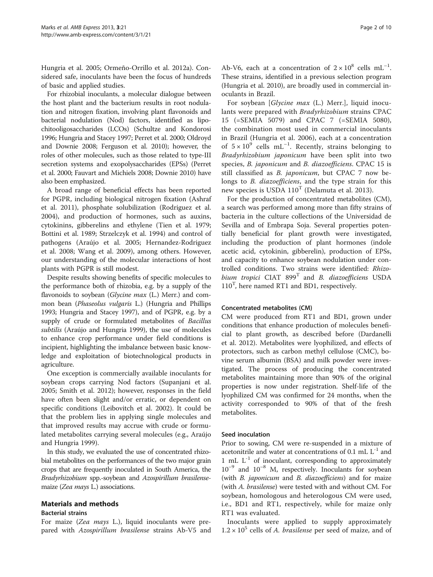Hungria et al. [2005;](#page-8-0) Ormeño-Orrillo et al. [2012a\)](#page-8-0). Considered safe, inoculants have been the focus of hundreds of basic and applied studies.

For rhizobial inoculants, a molecular dialogue between the host plant and the bacterium results in root nodulation and nitrogen fixation, involving plant flavonoids and bacterial nodulation (Nod) factors, identified as lipochitooligosaccharides (LCOs) (Schultze and Kondorosi [1996;](#page-9-0) Hungria and Stacey [1997;](#page-8-0) Perret et al. [2000;](#page-8-0) Oldroyd and Downie [2008](#page-8-0); Ferguson et al. [2010](#page-8-0)); however, the roles of other molecules, such as those related to type-III secretion systems and exopolysaccharides (EPSs) (Perret et al. [2000;](#page-8-0) Fauvart and Michiels [2008;](#page-8-0) Downie [2010](#page-8-0)) have also been emphasized.

A broad range of beneficial effects has been reported for PGPR, including biological nitrogen fixation (Ashraf et al. [2011\)](#page-8-0), phosphate solubilization (Rodriguez et al. [2004](#page-9-0)), and production of hormones, such as auxins, cytokinins, gibberelins and ethylene (Tien et al. [1979](#page-9-0); Bottini et al. [1989](#page-8-0); Strzelczyk et al. [1994\)](#page-9-0) and control of pathogens (Araújo et al. [2005](#page-7-0); Hernandez-Rodriguez et al. [2008;](#page-8-0) Wang et al. [2009\)](#page-9-0), among others. However, our understanding of the molecular interactions of host plants with PGPR is still modest.

Despite results showing benefits of specific molecules to the performance both of rhizobia, e.g. by a supply of the flavonoids to soybean (Glycine max (L.) Merr.) and common bean (Phaseolus vulgaris L.) (Hungria and Phillips [1993;](#page-8-0) Hungria and Stacey [1997](#page-8-0)), and of PGPR, e.g. by a supply of crude or formulated metabolites of Bacillus subtilis (Araújo and Hungria [1999](#page-7-0)), the use of molecules to enhance crop performance under field conditions is incipient, highlighting the imbalance between basic knowledge and exploitation of biotechnological products in agriculture.

One exception is commercially available inoculants for soybean crops carrying Nod factors (Supanjani et al. [2005](#page-9-0); Smith et al. [2012](#page-9-0)); however, responses in the field have often been slight and/or erratic, or dependent on specific conditions (Leibovitch et al. [2002\)](#page-8-0). It could be that the problem lies in applying single molecules and that improved results may accrue with crude or formulated metabolites carrying several molecules (e.g., Araújo and Hungria [1999\)](#page-7-0).

In this study, we evaluated the use of concentrated rhizobial metabolites on the performances of the two major grain crops that are frequently inoculated in South America, the Bradyrhizobium spp.-soybean and Azospirillum brasilensemaize (Zea mays L.) associations.

## Materials and methods

## Bacterial strains

For maize (Zea mays L.), liquid inoculants were prepared with Azospirillum brasilense strains Ab-V5 and

Ab-V6, each at a concentration of  $2 \times 10^8$  cells mL<sup>-1</sup>. These strains, identified in a previous selection program (Hungria et al. [2010\)](#page-8-0), are broadly used in commercial inoculants in Brazil.

For soybean [Glycine max (L.) Merr.], liquid inoculants were prepared with Bradyrhizobium strains CPAC 15 (=SEMIA 5079) and CPAC 7 (=SEMIA 5080), the combination most used in commercial inoculants in Brazil (Hungria et al. [2006\)](#page-8-0), each at a concentration of  $5 \times 10^9$  cells mL<sup>-1</sup>. Recently, strains belonging to Bradyrhizobium japonicum have been split into two species, B. japonicum and B. diazoefficiens. CPAC 15 is still classified as *B. japonicum*, but CPAC 7 now belongs to *B. diazoefficiens*, and the type strain for this new species is USDA  $110^T$  (Delamuta et al. [2013\)](#page-8-0).

For the production of concentrated metabolites (CM), a search was performed among more than fifty strains of bacteria in the culture collections of the Universidad de Sevilla and of Embrapa Soja. Several properties potentially beneficial for plant growth were investigated, including the production of plant hormones (indole acetic acid, cytokinin, gibberelin), production of EPSs, and capacity to enhance soybean nodulation under controlled conditions. Two strains were identified: Rhizobium tropici CIAT 899<sup>T</sup> and *B. diazoefficiens* USDA 110<sup>T</sup> , here named RT1 and BD1, respectively.

## Concentrated metabolites (CM)

CM were produced from RT1 and BD1, grown under conditions that enhance production of molecules beneficial to plant growth, as described before (Dardanelli et al. [2012](#page-8-0)). Metabolites were lyophilized, and effects of protectors, such as carbon methyl cellulose (CMC), bovine serum albumin (BSA) and milk powder were investigated. The process of producing the concentrated metabolites maintaining more than 90% of the original properties is now under registration. Shelf-life of the lyophilized CM was confirmed for 24 months, when the activity corresponded to 90% of that of the fresh metabolites.

## Seed inoculation

Prior to sowing, CM were re-suspended in a mixture of acetonitrile and water at concentrations of 0.1 mL  $L^{-1}$  and 1 mL  $L^{-1}$  of inoculant, corresponding to approximately  $10^{-9}$  and  $10^{-8}$  M, respectively. Inoculants for soybean (with  $B$ . *japonicum* and  $B$ . *diazoefficiens*) and for maize (with A. brasilense) were tested with and without CM. For soybean, homologous and heterologous CM were used, i.e., BD1 and RT1, respectively, while for maize only RT1 was evaluated.

Inoculants were applied to supply approximately  $1.2 \times 10^5$  cells of A. *brasilense* per seed of maize, and of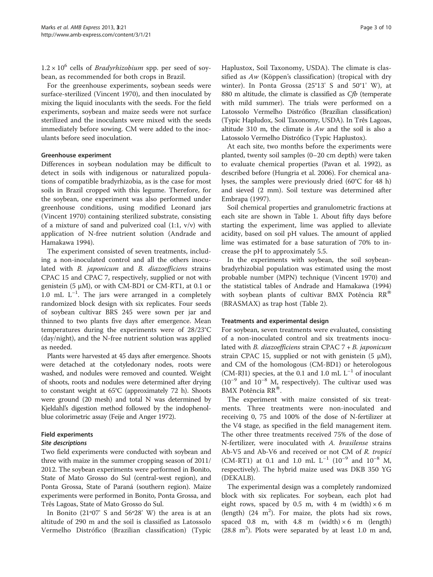$1.2 \times 10^6$  cells of *Bradyrhizobium* spp. per seed of soybean, as recommended for both crops in Brazil.

For the greenhouse experiments, soybean seeds were surface-sterilized (Vincent [1970](#page-9-0)), and then inoculated by mixing the liquid inoculants with the seeds. For the field experiments, soybean and maize seeds were not surface sterilized and the inoculants were mixed with the seeds immediately before sowing. CM were added to the inoculants before seed inoculation.

## Greenhouse experiment

Differences in soybean nodulation may be difficult to detect in soils with indigenous or naturalized populations of compatible bradyrhizobia, as is the case for most soils in Brazil cropped with this legume. Therefore, for the soybean, one experiment was also performed under greenhouse conditions, using modified Leonard jars (Vincent [1970\)](#page-9-0) containing sterilized substrate, consisting of a mixture of sand and pulverized coal (1:1, v/v) with application of N-free nutrient solution (Andrade and Hamakawa [1994](#page-7-0)).

The experiment consisted of seven treatments, including a non-inoculated control and all the others inoculated with B. japonicum and B. diazoefficiens strains CPAC 15 and CPAC 7, respectively, supplied or not with genistein (5 μM), or with CM-BD1 or CM-RT1, at 0.1 or 1.0 mL  $L^{-1}$ . The jars were arranged in a completely randomized block design with six replicates. Four seeds of soybean cultivar BRS 245 were sown per jar and thinned to two plants five days after emergence. Mean temperatures during the experiments were of 28/23°C (day/night), and the N-free nutrient solution was applied as needed.

Plants were harvested at 45 days after emergence. Shoots were detached at the cotyledonary nodes, roots were washed, and nodules were removed and counted. Weight of shoots, roots and nodules were determined after drying to constant weight at 65°C (approximately 72 h). Shoots were ground (20 mesh) and total N was determined by Kjeldahl's digestion method followed by the indophenolblue colorimetric assay (Feije and Anger [1972\)](#page-8-0).

## Field experiments

## Site descriptions

Two field experiments were conducted with soybean and three with maize in the summer cropping season of 2011/ 2012. The soybean experiments were performed in Bonito, State of Mato Grosso do Sul (central-west region), and Ponta Grossa, State of Paraná (southern region). Maize experiments were performed in Bonito, Ponta Grossa, and Três Lagoas, State of Mato Grosso do Sul.

In Bonito (21º07' S and 56º28' W) the area is at an altitude of 290 m and the soil is classified as Latossolo Vermelho Distrófico (Brazilian classification) (Typic Haplustox, Soil Taxonomy, USDA). The climate is classified as Aw (Köppen's classification) (tropical with dry winter). In Ponta Grossa (25°13' S and 50°1' W), at 880 m altitude, the climate is classified as Cfb (temperate with mild summer). The trials were performed on a Latossolo Vermelho Distrófico (Brazilian classification) (Typic Hapludox, Soil Taxonomy, USDA). In Três Lagoas, altitude 310 m, the climate is  $Aw$  and the soil is also a Latossolo Vermelho Distrófico (Typic Haplustox).

At each site, two months before the experiments were planted, twenty soil samples (0–20 cm depth) were taken to evaluate chemical properties (Pavan et al. [1992](#page-8-0)), as described before (Hungria et al. [2006\)](#page-8-0). For chemical analyses, the samples were previously dried (60°C for 48 h) and sieved (2 mm). Soil texture was determined after Embrapa [\(1997\)](#page-8-0).

Soil chemical properties and granulometric fractions at each site are shown in Table [1](#page-3-0). About fifty days before starting the experiment, lime was applied to alleviate acidity, based on soil pH values. The amount of applied lime was estimated for a base saturation of 70% to increase the pH to approximately 5.5.

In the experiments with soybean, the soil soybeanbradyrhizobial population was estimated using the most probable number (MPN) technique (Vincent [1970](#page-9-0)) and the statistical tables of Andrade and Hamakawa ([1994](#page-7-0)) with soybean plants of cultivar BMX Potência  $RR^®$ (BRASMAX) as trap host (Table [2](#page-3-0)).

## Treatments and experimental design

For soybean, seven treatments were evaluated, consisting of a non-inoculated control and six treatments inoculated with *B. diazoefficiens* strain CPAC  $7 + B$ . *japonicum* strain CPAC 15, supplied or not with genistein  $(5 \mu M)$ , and CM of the homologous (CM-BD1) or heterologous (CM-RJ1) species, at the 0.1 and 1.0 mL  $L^{-1}$  of inoculant  $(10^{-9}$  and  $10^{-8}$  M, respectively). The cultivar used was BMX Potência RR<sup>®</sup>.

The experiment with maize consisted of six treatments. Three treatments were non-inoculated and receiving 0, 75 and 100% of the dose of N-fertilizer at the V4 stage, as specified in the field management item. The other three treatments received 75% of the dose of N-fertilizer, were inoculated with A. brasilense strains Ab-V5 and Ab-V6 and received or not CM of R. tropici (CM-RT1) at 0.1 and 1.0 mL  $L^{-1}$  (10<sup>-9</sup> and 10<sup>-8</sup> M, respectively). The hybrid maize used was DKB 350 YG (DEKALB).

The experimental design was a completely randomized block with six replicates. For soybean, each plot had eight rows, spaced by 0.5 m, with 4 m (width)  $\times$  6 m (length)  $(24 \text{ m}^2)$ . For maize, the plots had six rows, spaced 0.8 m, with 4.8 m (width)  $\times$  6 m (length)  $(28.8 \text{ m}^2)$ . Plots were separated by at least 1.0 m and,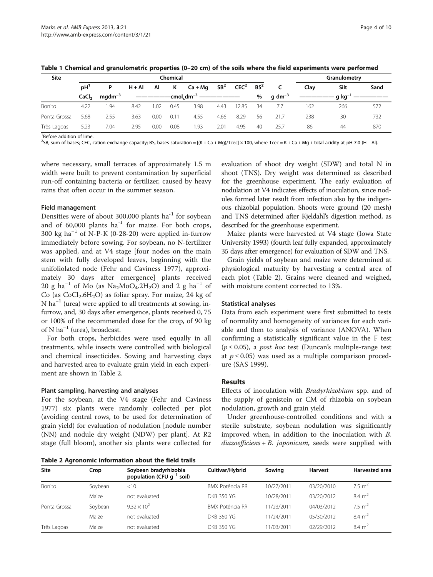| Site         | Chemical          |             |          |                                          |      |           |                 |                  |        |              | Granulometry |                            |      |  |
|--------------|-------------------|-------------|----------|------------------------------------------|------|-----------|-----------------|------------------|--------|--------------|--------------|----------------------------|------|--|
|              | pH'               | P           | $H + AI$ | ΑI                                       | Κ    | $Ca + Ma$ | SB <sup>2</sup> | CEC <sup>2</sup> | $BS^2$ | C            | Clav         | Silt                       | Sand |  |
|              | CaCl <sub>2</sub> | $mqdm^{-3}$ |          | -cmol <sub>c</sub> dm <sup>-3</sup><br>% |      |           |                 |                  |        | q dm $^{-3}$ |              | $\cdot$ q kg <sup>-'</sup> |      |  |
| Bonito       | 4.22              | 1.94        | 8.42     | 1.02                                     | 0.45 | 3.98      | 4.43            | 12.85            | 34     |              | 162          | 266                        | 572  |  |
| Ponta Grossa | 5.68              | 2.55        | 3.63     | 0.00                                     | 0.11 | 4.55      | 4.66            | 8.29             | 56     | 21.7         | 238          | 30                         | 732  |  |
| Três Lagoas  | 5.23              | 7.04        | 2.95     | 0.00                                     | 0.08 | 1.93      | 2.01            | 4.95             | -40    | 25.7         | 86           | 44                         | 870  |  |

<span id="page-3-0"></span>Table 1 Chemical and granulometric properties (0–20 cm) of the soils where the field experiments were performed

<sup>1</sup> Before addition of lime.

 $^2$ SB, sum of bases; CEC, cation exchange capacity; BS, bases saturation = [(K + Ca + Mg)/Tcec] × 100, where Tcec = K + Ca + Mg + total acidity at pH 7.0 (H + Al).

where necessary, small terraces of approximately 1.5 m width were built to prevent contamination by superficial run-off containing bacteria or fertilizer, caused by heavy rains that often occur in the summer season.

#### Field management

Densities were of about 300,000 plants ha<sup>-1</sup> for soybean and of  $60,000$  plants ha<sup>-1</sup> for maize. For both crops, 300 kg ha<sup>-1</sup> of N-P-K (0-28-20) were applied in-furrow immediately before sowing. For soybean, no N-fertilizer was applied, and at V4 stage [four nodes on the main stem with fully developed leaves, beginning with the unifoliolated node (Fehr and Caviness [1977](#page-8-0)), approximately 30 days after emergence] plants received 20 g ha<sup>-1</sup> of Mo (as Na<sub>2</sub>MoO<sub>4</sub>.2H<sub>2</sub>O) and 2 g ha<sup>-1</sup> of Co (as  $CoCl<sub>2</sub>.6H<sub>2</sub>O$ ) as foliar spray. For maize, 24 kg of  $N$  ha<sup>-1</sup> (urea) were applied to all treatments at sowing, infurrow, and, 30 days after emergence, plants received 0, 75 or 100% of the recommended dose for the crop, of 90 kg of N  $ha^{-1}$  (urea), broadcast.

For both crops, herbicides were used equally in all treatments, while insects were controlled with biological and chemical insecticides. Sowing and harvesting days and harvested area to evaluate grain yield in each experiment are shown in Table 2.

#### Plant sampling, harvesting and analyses

For the soybean, at the V4 stage (Fehr and Caviness [1977](#page-8-0)) six plants were randomly collected per plot (avoiding central rows, to be used for determination of grain yield) for evaluation of nodulation [nodule number (NN) and nodule dry weight (NDW) per plant]. At R2 stage (full bloom), another six plants were collected for

Table 2 Agronomic information about the field trails

evaluation of shoot dry weight (SDW) and total N in shoot (TNS). Dry weight was determined as described for the greenhouse experiment. The early evaluation of nodulation at V4 indicates effects of inoculation, since nodules formed later result from infection also by the indigenous rhizobial population. Shoots were ground (20 mesh) and TNS determined after Kjeldahl's digestion method, as described for the greenhouse experiment.

Maize plants were harvested at V4 stage (Iowa State University [1993\)](#page-8-0) (fourth leaf fully expanded, approximately 35 days after emergence) for evaluation of SDW and TNS.

Grain yields of soybean and maize were determined at physiological maturity by harvesting a central area of each plot (Table 2). Grains were cleaned and weighed, with moisture content corrected to 13%.

#### Statistical analyses

Data from each experiment were first submitted to tests of normality and homogeneity of variances for each variable and then to analysis of variance (ANOVA). When confirming a statistically significant value in the F test  $(p \le 0.05)$ , a *post hoc* test (Duncan's multiple-range test at  $p \le 0.05$ ) was used as a multiple comparison procedure (SAS [1999\)](#page-9-0).

#### Results

Effects of inoculation with Bradyrhizobium spp. and of the supply of genistein or CM of rhizobia on soybean nodulation, growth and grain yield

Under greenhouse-controlled conditions and with a sterile substrate, soybean nodulation was significantly improved when, in addition to the inoculation with B.  $diazoefficients + B. japonicum, seeds were supplied with$ 

| <b>Site</b>  | Crop    | Soybean bradyrhizobia<br>population (CFU $q^{-1}$ soil) | Cultivar/Hybrid        | Sowing     | <b>Harvest</b> | <b>Harvested area</b> |
|--------------|---------|---------------------------------------------------------|------------------------|------------|----------------|-----------------------|
| Bonito       | Soybean | $<$ 10                                                  | BMX Potência RR        | 10/27/2011 | 03/20/2010     | $7.5 \text{ m}^2$     |
|              | Maize   | not evaluated                                           | DKB 350 YG             | 10/28/2011 | 03/20/2012     | $8.4 \text{ m}^2$     |
| Ponta Grossa | Soybean | $9.32 \times 10^{2}$                                    | <b>BMX Potência RR</b> | 11/23/2011 | 04/03/2012     | $7.5 \text{ m}^2$     |
|              | Maize   | not evaluated                                           | DKB 350 YG             | 11/24/2011 | 05/30/2012     | $8.4 \text{ m}^2$     |
| Três Lagoas  | Maize   | not evaluated                                           | <b>DKB 350 YG</b>      | 11/03/2011 | 02/29/2012     | $8.4 \text{ m}^2$     |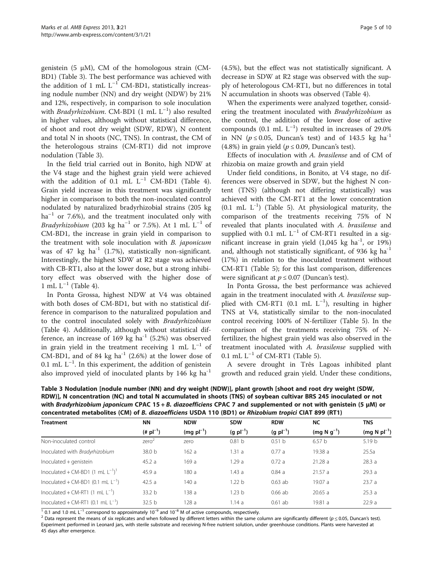genistein (5 μM), CM of the homologous strain (CM-BD1) (Table 3). The best performance was achieved with the addition of 1 mL  $L^{-1}$  CM-BD1, statistically increasing nodule number (NN) and dry weight (NDW) by 21% and 12%, respectively, in comparison to sole inoculation with *Bradyrhizobium*. CM-BD1  $(1 \text{ mL } L^{-1})$  also resulted in higher values, although without statistical difference, of shoot and root dry weight (SDW, RDW), N content and total N in shoots (NC, TNS). In contrast, the CM of the heterologous strains (CM-RT1) did not improve nodulation (Table 3).

In the field trial carried out in Bonito, high NDW at the V4 stage and the highest grain yield were achieved with the addition of 0.1 mL  $L^{-1}$  CM-BD1 (Table [4](#page-5-0)). Grain yield increase in this treatment was significantly higher in comparison to both the non-inoculated control nodulated by naturalized bradyrhizobial strains (205 kg  $ha^{-1}$  or 7.6%), and the treatment inoculated only with *Bradyrhizobium* (203 kg ha<sup>-1</sup> or 7.5%). At 1 mL  $L^{-1}$  of CM-BD1, the increase in grain yield in comparison to the treatment with sole inoculation with B. japonicum was of 47 kg  $ha^{-1}$  (1.7%), statistically non-significant. Interestingly, the highest SDW at R2 stage was achieved with CB-RT1, also at the lower dose, but a strong inhibitory effect was observed with the higher dose of 1 mL  $L^{-1}$  (Table [4\)](#page-5-0).

In Ponta Grossa, highest NDW at V4 was obtained with both doses of CM-BD1, but with no statistical difference in comparison to the naturalized population and to the control inoculated solely with Bradyrhizobium (Table [4](#page-5-0)). Additionally, although without statistical difference, an increase of 169 kg  $ha^{-1}$  (5.2%) was observed in grain yield in the treatment receiving 1 mL  $L^{-1}$  of CM-BD1, and of 84 kg ha<sup>-1</sup> (2.6%) at the lower dose of  $0.1$  mL  $L^{-1}$ . In this experiment, the addition of genistein also improved yield of inoculated plants by  $146 \text{ kg}$  ha<sup>-1</sup>

When the experiments were analyzed together, considering the treatment inoculated with Bradyrhizobium as the control, the addition of the lower dose of active compounds (0.1 mL  $L^{-1}$ ) resulted in increases of 29.0% in NN ( $p \le 0.05$ , Duncan's test) and of 143.5 kg ha<sup>-1</sup> (4.8%) in grain yield ( $p \le 0.09$ , Duncan's test).

Effects of inoculation with A. brasilense and of CM of rhizobia on maize growth and grain yield

Under field conditions, in Bonito, at V4 stage, no differences were observed in SDW, but the highest N content (TNS) (although not differing statistically) was achieved with the CM-RT1 at the lower concentration  $(0.1 \text{ mL } L^{-1})$  (Table [5\)](#page-6-0). At physiological maturity, the comparison of the treatments receiving 75% of N revealed that plants inoculated with A. brasilense and supplied with 0.1 mL  $L^{-1}$  of CM-RT1 resulted in a significant increase in grain yield  $(1,045 \text{ kg ha}^{-1}, \text{ or } 19\%)$ and, although not statistically significant, of 936 kg ha<sup>-1</sup> (17%) in relation to the inoculated treatment without CM-RT1 (Table [5](#page-6-0)); for this last comparison, differences were significant at  $p \le 0.07$  (Duncan's test).

In Ponta Grossa, the best performance was achieved again in the treatment inoculated with A. brasilense supplied with CM-RT1 (0.1 mL  $L^{-1}$ ), resulting in higher TNS at V4, statistically similar to the non-inoculated control receiving 100% of N-fertilizer (Table [5\)](#page-6-0). In the comparison of the treatments receiving 75% of Nfertilizer, the highest grain yield was also observed in the treatment inoculated with A. brasilense supplied with 0.1 mL  $L^{-1}$  of CM-RT1 (Table [5](#page-6-0)).

A severe drought in Três Lagoas inhibited plant growth and reduced grain yield. Under these conditions,

| <b>Treatment</b>                               | ΝN                    | <b>NDW</b>      | <b>SDW</b>        | <b>RDW</b>            | <b>NC</b>         | <b>TNS</b>        |  |
|------------------------------------------------|-----------------------|-----------------|-------------------|-----------------------|-------------------|-------------------|--|
|                                                | $(\# \text{pl}^{-1})$ | $(mq\;pl^{-1})$ | $(g pl^{-1})$     | $(g \text{ pl}^{-1})$ | $(mq N q^{-1})$   | $(mg N p l^{-1})$ |  |
| Non-inoculated control                         | zero <sup>2</sup>     | zero            | 0.81 <sub>b</sub> | 0.51 <sub>b</sub>     | 6.57 <sub>b</sub> | 5.19 <sub>b</sub> |  |
| Inoculated with Bradyrhizobium                 | 38.0 b                | 162a            | 1.31a             | 0.77a                 | 19.38 a           | 25.5a             |  |
| Inoculated + genistein                         | 45.2a                 | 169 a           | 1.29a             | 0.72a                 | 21.28 a           | 28.3a             |  |
| Inoculated + CM-BD1 $(1 \text{ mL } L^{-1})^1$ | 45.9 a                | 180 a           | 1.43a             | 0.84a                 | 21.57a            | 29.3a             |  |
| Inoculated + CM-BD1 (0.1 mL $L^{-1}$ )         | 42.5a                 | 140 a           | 1.22 b            | $0.63$ ab             | 19.07a            | 23.7a             |  |
| Inoculated + CM-RT1 $(1 \text{ mL } L^{-1})$   | 33.2 <sub>b</sub>     | 138 a           | 1.23 <sub>b</sub> | $0.66$ ab             | 20.65a            | 25.3a             |  |
| Inoculated + CM-RT1 (0.1 mL $L^{-1}$ )         | 32.5 <sub>b</sub>     | 128a            | 1.14a             | $0.61$ ab             | 19.81a            | 22.9a             |  |

Table 3 Nodulation [nodule number (NN) and dry weight (NDW)], plant growth [shoot and root dry weight (SDW, RDW)], N concentration (NC) and total N accumulated in shoots (TNS) of soybean cultivar BRS 245 inoculated or not with Bradyrhizobium japonicum CPAC 15 + B. diazoefficiens CPAC 7 and supplemented or not with genistein (5 μM) or concentrated metabolites (CM) of B. diazoefficiens USDA 110 (BD1) or Rhizobium tropici CIAT 899 (RT1)

 $\frac{1}{1}$  0.1 and 1.0 mL L<sup>-1</sup> correspond to approximately 10<sup>-9</sup> and 10<sup>-8</sup> M of active compounds, respectively.<br><sup>2</sup> Data represent the means of six replicates and when followed by different letters within the same colum Experiment performed in Leonard jars, with sterile substrate and receiving N-free nutrient solution, under greenhouse conditions. Plants were harvested at 45 days after emergence.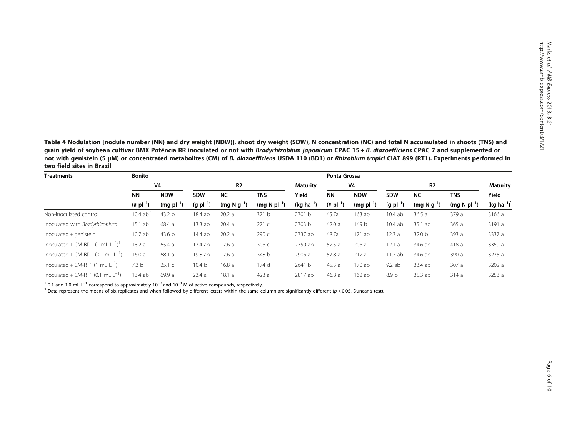<span id="page-5-0"></span>Table 4 Nodulation [nodule number (NN) and dry weight (NDW)], shoot dry weight (SDW), N concentration (NC) and total N accumulated in shoots (TNS) and grain yield of soybean cultivar BMX Potência RR inoculated or not with Bradyrhizobium japonicum CPAC 15 + B. diazoefficiens CPAC 7 and supplemented or not with genistein (5 μM) or concentrated metabolites (CM) of B. diazoefficiens USDA 110 (BD1) or Rhizobium tropici CIAT 899 (RT1). Experiments performed in two field sites in Brazil

| <b>Treatments</b>                              | <b>Bonito</b>         |                   |                   |                 |                   |                  |                       | Ponta Grossa   |                  |                   |                   |                 |  |
|------------------------------------------------|-----------------------|-------------------|-------------------|-----------------|-------------------|------------------|-----------------------|----------------|------------------|-------------------|-------------------|-----------------|--|
|                                                | V <sub>4</sub>        |                   | R <sub>2</sub>    |                 |                   | Maturity         | V4                    |                | R <sub>2</sub>   |                   |                   | <b>Maturity</b> |  |
|                                                | <b>NN</b>             | <b>NDW</b>        | <b>SDW</b>        | <b>NC</b>       | <b>TNS</b>        | Yield            | <b>NN</b>             | <b>NDW</b>     | <b>SDW</b>       | <b>NC</b>         | <b>TNS</b>        | Yield           |  |
|                                                | $(\# \text{pl}^{-1})$ | $(mg pl^{-1})$    | $(g pl^{-1})$     | $(mq N q^{-1})$ | $(mq N p l^{-1})$ | (kg ha $^{-1}$ ) | $(\# \text{pl}^{-1})$ | $(mg pl^{-1})$ | $(g pl^{-1})$    | $(mq N q^{-1})$   | $(mq N p l^{-1})$ | $(kg ha^{-1})$  |  |
| Non-inoculated control                         | 10.4 $ab^2$           | 43.2 b            | 18.4 ab           | 20.2a           | 371 b             | 2701 b           | 45.7a                 | $163$ ab       | 10.4ab           | 36.5a             | 379 a             | 3166 a          |  |
| Inoculated with Bradyrhizobium                 | 15.1ab                | 68.4 a            | 13.3ab            | 20.4a           | 271c              | 2703 b           | 42.0a                 | 149 b          | 10.4ab           | 35.1 ab           | 365a              | 3191 a          |  |
| Inoculated + genistein                         | 10.7ab                | 43.6 <sub>b</sub> | 14.4 ab           | 20.2a           | 290 с             | 2737 ab          | 48.7a                 | 171ab          | 12.3a            | 32.0 <sub>b</sub> | 393 a             | 3337 a          |  |
| Inoculated + CM-BD1 $(1 \text{ mL } L^{-1})^T$ | 18.2a                 | 65.4 a            | 17.4ab            | 17.6 a          | 306 с             | 2750 ab          | 52.5a                 | 206a           | 12.1a            | 34.6 ab           | 418 a             | 3359 a          |  |
| Inoculated + CM-BD1 $(0.1 \text{ mL L}^{-1})$  | 16.0a                 | 68.1 a            | 19.8 ab           | 17.6 a          | 348 b             | 2906 a           | 57.8a                 | 212a           | 11.3ab           | 34.6 ab           | 390 a             | 3275 a          |  |
| Inoculated + CM-RT1 (1 mL $L^{-1}$ )           | 7.3 <sub>b</sub>      | 25.1c             | 10.4 <sub>b</sub> | 16.8 a          | 174 d             | 2641 b           | 45.3a                 | 170 ab         | 9.2 ab           | 33.4 ab           | 307 a             | 3202 a          |  |
| Inoculated + CM-RT1 (0.1 mL $L^{-1}$ )         | 13.4 ab               | 69.9 a            | 23.4a             | 18.1a           | 423a              | 2817 ab          | 46.8a                 | $162$ ab       | 8.9 <sub>b</sub> | 35.3 ab           | 314a              | 3253a           |  |

 $\frac{1}{1}$  0.1 and 1.0 mL L<sup>-1</sup> correspond to approximately 10<sup>-9</sup> and 10<sup>-8</sup> M of active compounds, respectively.<br><sup>2</sup> Data represent the means of six replicates and when followed by different letters within the same colum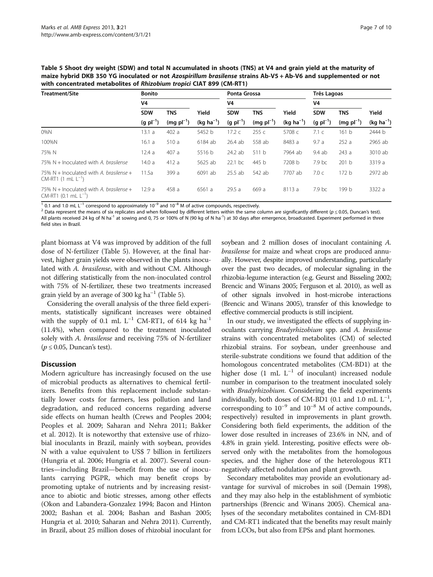<span id="page-6-0"></span>Table 5 Shoot dry weight (SDW) and total N accumulated in shoots (TNS) at V4 and grain yield at the maturity of maize hybrid DKB 350 YG inoculated or not Azospirillum brasilense strains Ab-V5 + Ab-V6 and supplemented or not with concentrated metabolites of Rhizobium tropici CIAT 899 (CM-RT1)

| <b>Treatment/Site</b>                                                  | <b>Bonito</b> |                |                | Ponta Grossa  |                        |                | Três Lagoas    |                |                |  |
|------------------------------------------------------------------------|---------------|----------------|----------------|---------------|------------------------|----------------|----------------|----------------|----------------|--|
|                                                                        | V4            |                |                | V4            |                        |                | V <sub>4</sub> |                |                |  |
|                                                                        | <b>SDW</b>    | <b>TNS</b>     | Yield          | <b>SDW</b>    | <b>TNS</b>             | Yield          | <b>SDW</b>     | <b>TNS</b>     | Yield          |  |
|                                                                        | $(g pl^{-1})$ | $(mq pl^{-1})$ | $(kq ha^{-1})$ | $(g pl^{-1})$ | $(mq \text{ pl}^{-1})$ | $(kq ha^{-1})$ | $(g pl^{-1})$  | $(mg pl^{-1})$ | $(kq ha^{-1})$ |  |
| $0\%$ N                                                                | 13.1 a        | 402a           | 5452 b         | 17.2c         | 255c                   | 5708 c         | 7.1c           | 161 b          | 2444 b         |  |
| 100%N                                                                  | 16.1a         | 510a           | 6184 ab        | 26.4 ab       | 558 ab                 | 8483 a         | 9.7a           | 252a           | 2965 ab        |  |
| 75% N                                                                  | 12.4a         | 407 a          | 5516 b         | 24.2 ab       | 511 b                  | 7964 ab        | 9.4 ab         | 243a           | 3010 ab        |  |
| 75% $N +$ Inoculated with A. brasilense                                | 14.0a         | 412a           | 5625 ab        | $22.1$ bc     | 445 b                  | 7208 b         | 7.9 bc         | 201 b          | 3319 a         |  |
| 75% N + Inoculated with A. brasilense +<br>$CM-RT1$ (1 mL $L^{-1}$ )   | 11.5a         | 399 a          | 6091 ab        | $25.5$ ab     | 542 ab                 | 7707 ab        | 7.0c           | 172 b          | 2972 ab        |  |
| 75% N + Inoculated with A. brasilense +<br>$CM-RT1$ (0.1 mL $L^{-1}$ ) | 12.9a         | 458 a          | 6561 a         | 29.5a         | 669 a                  | 8113 a         | 7.9 bc         | 199 b          | 3322 a         |  |

<sup>1</sup> 0.1 and 1.0 mL L<sup>-1</sup> correspond to approximately 10<sup>-9</sup> and 10<sup>-8</sup> M of active compounds, respectively.<br><sup>2</sup> Data represent the means of six replicates and when followed by different letters within the same column are All plants received 24 kg of N ha<sup>-1</sup> at sowing and 0, 75 or 100% of N (90 kg of N ha<sup>-1</sup>) at 30 days after emergence, broadcasted. Experiment performed in three field sites in Brazil.

plant biomass at V4 was improved by addition of the full dose of N-fertilizer (Table 5). However, at the final harvest, higher grain yields were observed in the plants inoculated with A. brasilense, with and without CM. Although not differing statistically from the non-inoculated control with 75% of N-fertilizer, these two treatments increased grain yield by an average of 300 kg  $ha^{-1}$  (Table 5).

Considering the overall analysis of the three field experiments, statistically significant increases were obtained with the supply of 0.1 mL  $L^{-1}$  CM-RT1, of 614 kg ha<sup>-1</sup> (11.4%), when compared to the treatment inoculated solely with A. brasilense and receiving 75% of N-fertilizer  $(p \le 0.05,$  Duncan's test).

## **Discussion**

Modern agriculture has increasingly focused on the use of microbial products as alternatives to chemical fertilizers. Benefits from this replacement include substantially lower costs for farmers, less pollution and land degradation, and reduced concerns regarding adverse side effects on human health (Crews and Peoples [2004](#page-8-0); Peoples et al. [2009;](#page-8-0) Saharan and Nehra [2011;](#page-9-0) Bakker et al. [2012\)](#page-8-0). It is noteworthy that extensive use of rhizobial inoculants in Brazil, mainly with soybean, provides N with a value equivalent to US\$ 7 billion in fertilizers (Hungria et al. [2006;](#page-8-0) Hungria et al. [2007\)](#page-8-0). Several countries—including Brazil—benefit from the use of inoculants carrying PGPR, which may benefit crops by promoting uptake of nutrients and by increasing resistance to abiotic and biotic stresses, among other effects (Okon and Labandera-Gonzalez [1994;](#page-8-0) Bacon and Hinton [2002;](#page-8-0) Bashan et al. [2004](#page-8-0); Bashan and Bashan [2005](#page-8-0); Hungria et al. [2010](#page-8-0); Saharan and Nehra [2011](#page-9-0)). Currently, in Brazil, about 25 million doses of rhizobial inoculant for

soybean and 2 million doses of inoculant containing A. brasilense for maize and wheat crops are produced annually. However, despite improved understanding, particularly over the past two decades, of molecular signaling in the rhizobia-legume interaction (e.g. Geurst and Bisseling [2002](#page-8-0); Brencic and Winans [2005](#page-8-0); Ferguson et al. [2010\)](#page-8-0), as well as of other signals involved in host-microbe interactions (Brencic and Winans [2005](#page-8-0)), transfer of this knowledge to effective commercial products is still incipient.

In our study, we investigated the effects of supplying inoculants carrying Bradyrhizobium spp. and A. brasilense strains with concentrated metabolites (CM) of selected rhizobial strains. For soybean, under greenhouse and sterile-substrate conditions we found that addition of the homologous concentrated metabolites (CM-BD1) at the higher dose  $(1 \text{ mL } L^{-1}$  of inoculant) increased nodule number in comparison to the treatment inoculated solely with *Bradyrhizobium*. Considering the field experiments individually, both doses of CM-BD1 (0.1 and 1.0 mL  $L^{-1}$ , corresponding to  $10^{-9}$  and  $10^{-8}$  M of active compounds, respectively) resulted in improvements in plant growth. Considering both field experiments, the addition of the lower dose resulted in increases of 23.6% in NN, and of 4.8% in grain yield. Interesting, positive effects were observed only with the metabolites from the homologous species, and the higher dose of the heterologous RT1 negatively affected nodulation and plant growth.

Secondary metabolites may provide an evolutionary advantage for survival of microbes in soil (Demain [1998](#page-8-0)), and they may also help in the establishment of symbiotic partnerships (Brencic and Winans [2005\)](#page-8-0). Chemical analyses of the secondary metabolites contained in CM-BD1 and CM-RT1 indicated that the benefits may result mainly from LCOs, but also from EPSs and plant hormones.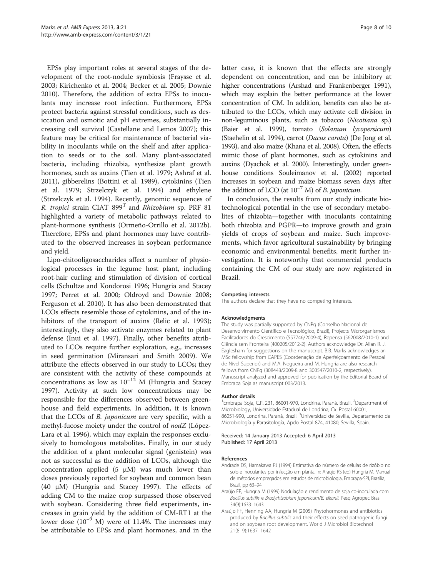<span id="page-7-0"></span>EPSs play important roles at several stages of the development of the root-nodule symbiosis (Fraysse et al. [2003](#page-8-0); Kirichenko et al. [2004](#page-8-0); Becker et al. [2005](#page-8-0); Downie [2010](#page-8-0)). Therefore, the addition of extra EPSs to inoculants may increase root infection. Furthermore, EPSs protect bacteria against stressful conditions, such as desiccation and osmotic and pH extremes, substantially increasing cell survival (Castellane and Lemos [2007](#page-8-0)); this feature may be critical for maintenance of bacterial viability in inoculants while on the shelf and after application to seeds or to the soil. Many plant-associated bacteria, including rhizobia, synthesize plant growth hormones, such as auxins (Tien et al. [1979;](#page-9-0) Ashraf et al. [2011](#page-8-0)), gibberelins (Bottini et al. [1989](#page-8-0)), cytokinins (Tien et al. [1979](#page-9-0); Strzelczyk et al. [1994\)](#page-9-0) and ethylene (Strzelczyk et al. [1994\)](#page-9-0). Recently, genomic sequences of R. tropici strain CIAT  $899<sup>T</sup>$  and *Rhizobium* sp. PRF 81 highlighted a variety of metabolic pathways related to plant-hormone synthesis (Ormeño-Orrillo et al. [2012b](#page-8-0)). Therefore, EPSs and plant hormones may have contributed to the observed increases in soybean performance and yield.

Lipo-chitooligosaccharides affect a number of physiological processes in the legume host plant, including root-hair curling and stimulation of division of cortical cells (Schultze and Kondorosi [1996](#page-9-0); Hungria and Stacey [1997](#page-8-0); Perret et al. [2000;](#page-8-0) Oldroyd and Downie [2008](#page-8-0); Ferguson et al. [2010\)](#page-8-0). It has also been demonstrated that LCOs effects resemble those of cytokinins, and of the in-hibitors of the transport of auxins (Relic et al. [1993](#page-9-0)); interestingly, they also activate enzymes related to plant defense (Inui et al. [1997](#page-8-0)). Finally, other benefits attributed to LCOs require further exploration, e.g., increases in seed germination (Miransari and Smith [2009\)](#page-8-0). We attribute the effects observed in our study to LCOs; they are consistent with the activity of these compounds at concentrations as low as  $10^{-12}$  M (Hungria and Stacey [1997](#page-8-0)). Activity at such low concentrations may be responsible for the differences observed between greenhouse and field experiments. In addition, it is known that the LCOs of B. japonicum are very specific, with a methyl-fucose moiety under the control of *nodZ* (López-Lara et al. [1996\)](#page-8-0), which may explain the responses exclusively to homologous metabolites. Finally, in our study the addition of a plant molecular signal (genistein) was not as successful as the addition of LCOs, although the concentration applied  $(5 \mu M)$  was much lower than doses previously reported for soybean and common bean (40 μM) (Hungria and Stacey [1997](#page-8-0)). The effects of adding CM to the maize crop surpassed those observed with soybean. Considering three field experiments, increases in grain yield by the addition of CM-RT1 at the lower dose  $(10^{-9}$  M) were of 11.4%. The increases may be attributable to EPSs and plant hormones, and in the latter case, it is known that the effects are strongly dependent on concentration, and can be inhibitory at higher concentrations (Arshad and Frankenberger [1991](#page-8-0)), which may explain the better performance at the lower concentration of CM. In addition, benefits can also be attributed to the LCOs, which may activate cell division in non-leguminous plants, such as tobacco (Nicotiana sp.) (Baier et al. [1999\)](#page-8-0), tomato (Solanum lycopersicum) (Staehelin et al. [1994\)](#page-9-0), carrot (Dacus carota) (De Jong et al. [1993\)](#page-8-0), and also maize (Khana et al. [2008](#page-8-0)). Often, the effects mimic those of plant hormones, such as cytokinins and auxins (Dyachok et al. [2000\)](#page-8-0). Interestingly, under greenhouse conditions Souleimanov et al. ([2002](#page-9-0)) reported increases in soybean and maize biomass seven days after the addition of LCO (at  $10^{-7}$  M) of *B. japonicum.* 

In conclusion, the results from our study indicate biotechnological potential in the use of secondary metabolites of rhizobia—together with inoculants containing both rhizobia and PGPR—to improve growth and grain yields of crops of soybean and maize. Such improvements, which favor agricultural sustainability by bringing economic and environmental benefits, merit further investigation. It is noteworthy that commercial products containing the CM of our study are now registered in Brazil.

#### Competing interests

The authors declare that they have no competing interests.

#### Acknowledgments

The study was partially supported by CNPq (Conselho Nacional de Desenvolvimento Científico e Tecnológico, Brazil), Projects Microrganismos Facilitadores do Crescimento (557746/2009-4), Repensa (562008/2010-1) and Ciência sem Fronteira (400205/2012-2). Authors acknowledge Dr. Allan R. J. Eaglesham for suggestions on the manuscript. B.B. Marks acknowledges an MSc fellowship from CAPES (Coordenação de Aperfeiçoamento de Pessoal de Nível Superior) and M.A. Nogueira and M. Hungria are also research fellows from CNPq (308443/2009-8 and 300547/2010-2, respectively). Manuscript analyzed and approved for publication by the Editorial Board of Embrapa Soja as manuscript 003/2013.

#### Author details

<sup>1</sup> Embrapa Soja, C.P. 231, 86001-970, Londrina, Paraná, Brazil. <sup>2</sup>Department of Microbiology, Universidade Estadual de Londrina, Cx. Postal 60001, 86051-990, Londrina, Paraná, Brazil. <sup>3</sup>Universidad de Sevilla, Departamento de Microbiología y Parasitología, Apdo Postal 874, 41080, Sevilla, Spain.

#### Received: 14 January 2013 Accepted: 6 April 2013 Published: 17 April 2013

#### References

- Andrade DS, Hamakawa PJ (1994) Estimativa do número de células de rizóbio no solo e inoculantes por infecção em planta. In: Araujo RS (ed) Hungria M. Manual de métodos empregados em estudos de microbiologia, Embrapa-SPI, Brasília, Brazil, pp 63–94
- Araújo FF, Hungria M (1999) Nodulação e rendimento de soja co-inoculada com Bacillus subtilis e Bradyrhizobium japonicum/B. elkanii. Pesq Agropec Bras 34(9):1633–1643
- Araújo FF, Henning AA, Hungria M (2005) Phytohormones and antibiotics produced by Bacillus subtilis and their effects on seed pathogenic fungi and on soybean root development. World J Microbiol Biotechnol 21(8–9):1637–1642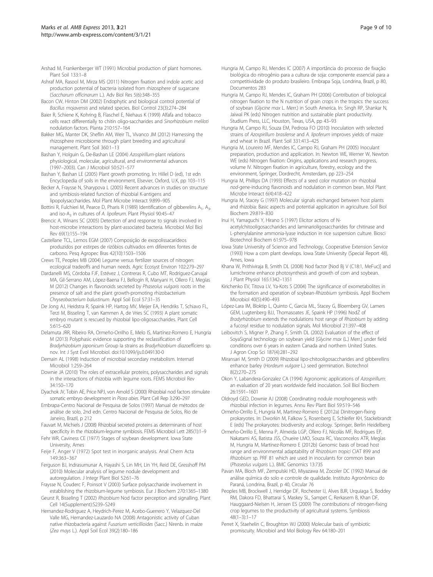- <span id="page-8-0"></span>Arshad M, Frankenberger WT (1991) Microbial production of plant hormones. Plant Soil 133:1–8
- Ashraf MA, Rasool M, Mirza MS (2011) Nitrogen fixation and indole acetic acid production potential of bacteria isolated from rhizosphere of sugarcane (Saccharum officinarum L.). Adv Biol Res 5(6):348–355
- Bacon CW, Hinton DM (2002) Endophytic and biological control potential of Bacillus mojavensis and related species. Biol Control 23(3):274–284
- Baier R, Schiene K, Kohring B, Flaschel E, Niehaus K (1999) Alfafa and tobacco cells react differentially to chitin oligo-saccharides and Sinorhizobium meliloti nodulation factors. Planta 210:157–164
- Bakker MG, Manter DK, Sheflin AM, Weir TL, Vivanco JM (2012) Harnessing the rhizosphere microbiome through plant breeding and agricultural management. Plant Soil 360:1–13
- Bashan Y, Holguin G, De-Bashan LE (2004) Azospirillum-plant relations physiological, molecular, agricultural, and environmental advances (1997–2003). Can J Microbiol 50:521–577
- Bashan Y, Bashan LE (2005) Plant growth promoting. In: Hillel D (ed), 1st edn Encyclopedia of soils in the environment, Elsevier, Oxford, U.K, pp 103–115
- Becker A, Fraysse N, Sharypova L (2005) Recent advances in studies on structure and symbiosis-related function of rhizobial K-antigens and lipopolysaccharides. Mol Plant Microbe Interact 9:899–905
- Bottini R, Fulchieri M, Pearce D, Pharis R (1989) Identification of gibberelins  $A_1$ ,  $A_3$ , and iso-A<sub>3</sub> in cultures of A. lipoferum. Plant Physiol 90:45-47
- Brencic A, Winans SC (2005) Detection of and response to signals involved in host-microbe interactions by plant-associated bacteria. Microbiol Mol Biol Rev 69(1):155–194
- Castellane TCL, Lemos EGM (2007) Composição de exopolissacarídeos produzidos por estirpes de rizóbios cultivados em diferentes fontes de carbono. Pesq Agropec Bras 42(10):1503–1506
- Crews TE, Peoples MB (2004) Legume versus fertilizer sources of nitrogen: ecological tradeoffs and human needs. Agric Ecosyst Environ 102:279–297
- Dardanelli MS, Córdoba FJF, Estévez J, Contreras R, Cubo MT, Rodríguez-Carvajal MA, Gil-Serrano AM, López-Baena FJ, Bellogín R, Manyani H, Ollero FJ, Megías M (2012) Changes in flavonoids secreted by Phaseolus vulgaris roots in the presence of salt and the plant growth-promoting rhizobacterium Chryseobacterium balustinum. Appl Soil Ecol 57:31–35
- De Jong AJ, Heidstra R, Spaink HP, Hartog MV, Meijer EA, Hendriks T, Schiavo FL, Terzi M, Bisseling T, van Kammen A, de Vries SC (1993) A plant somatic embryo mutant is rescued by rhizobial lipo-oligosaccharides. Plant Cell 5:615–620
- Delamuta JRR, Ribeiro RA, Ormeño-Orrilho E, Melo IS, Martínez-Romero E, Hungria M (2013) Polyphasic evidence supporting the reclassification of Bradyrhizobium japonicum Group Ia strains as Bradyrhizobium diazoefficiens sp. nov. Int J Syst Evol Microbiol. doi[:10.1099/ijs.0.049130-0](http://dx.doi.org/10.1099/ijs.0.049130-0)
- Demain AL (1998) Induction of microbial secondary metabolism. Internatl Microbiol 1:259–264
- Downie JA (2010) The roles of extracellular proteins, polysaccharides and signals in the interactions of rhizobia with legume roots. FEMS Microbiol Rev 34:150–170
- Dyachok JV, Tobin AE, Price NPJ, von Arnold S (2000) Rhizobial nod factors stimulate somatic embryo development in Picea abies. Plant Cell Rep 3:290–297
- Embrapa-Centro Nacional de Pesquisa de Solos (1997) Manual de métodos de análise de solo, 2nd edn. Centro Nacional de Pesquisa de Solos, Rio de Janeiro, Brazil, p 212
- Fauvart M, Michiels J (2008) Rhizobial secreted proteins as determinants of host specificity in the rhizobium-legume symbiosis. FEMS Microbiol Lett 285(1):1–9
- Fehr WR, Caviness CE (1977) Stages of soybean development. Iowa State University, Ames
- Feije F, Anger V (1972) Spot test in inorganic analysis. Anal Chem Acta 149:363–367
- Ferguson BJ, Indrasumunar A, Hayashi S, Lin MH, Lin YH, Reid DE, Gresshoff PM (2010) Molecular analysis of legume nodule development and autoregulation. J Integr Plant Biol 52:61–76
- Fraysse N, Couderc F, Poinsot V (2003) Surface polysaccharide involvement in establishing the rhizobium-legume symbiosis. Eur J Biochem 270:1365–1380
- Geurst R, Bisseling T (2002) Rhizobium Nod factor perception and signalling. Plant Cell 14(Supplement):S239–S249
- Hernandez-Rodriguez A, Heydrich-Perez M, Acebo-Guerrero Y, Velazquez-Del Valle MG, Hernandez-Lauzardo NA (2008) Antagonistic activity of Cuban native rhizobacteria against Fusarium verticillioides (Sacc.) Nirenb. in maize (Zea mays L.). Appl Soil Ecol 39(2):180–186
- Hungria M, Campo RJ, Mendes IC (2007) A importância do processo de fixação biológica do nitrogênio para a cultura de soja: componente essencial para a competitividade do produto brasileiro. Embrapa Soja, Londrina, Brazil, p 80, Documentos 283
- Hungria M, Campo RJ, Mendes IC, Graham PH (2006) Contribution of biological nitrogen fixation to the N nutrition of grain crops in the tropics: the success of soybean (Glycine max L. Merr.) in South America. In: Singh RP, Shankar N, Jaiwal PK (eds) Nitrogen nutrition and sustainable plant productivity. Studium Press, LLC, Houston, Texas, USA, pp 43–93
- Hungria M, Campo RJ, Souza EM, Pedrosa FO (2010) Inoculation with selected strains of Azospirillum brasilense and A. lipoferum improves yields of maize and wheat in Brazil. Plant Soil 331:413–425
- Hungria M, Loureiro MF, Mendes IC, Campo RJ, Graham PH (2005) Inoculant preparation, production and application. In: Newton WE, Werner W, Newton WE (eds) Nitrogen fixation: Origins, applications and research progress, volume IV. Nitrogen fixation in agriculture, forestry, ecology and the environment, Springer, Dordrecht, Amsterdam, pp 223–254
- Hungria M, Phillips DA (1993) Effects of a seed color mutation on rhizobial nod-gene-inducing flavonoids and nodulation in common bean. Mol Plant Microbe Interact 6(4):418–422
- Hungria M, Stacey G (1997) Molecular signals exchanged between host plants and rhizobia: Basic aspects and potential application in agriculture. Soil Biol Biochem 29:819–830
- Inui H, Yamaguchi Y, Hirano S (1997) Elicitor actions of Nacetylchitooligosaccharides and laminarioligosaccharides for chitinase and L-phenylalanine ammonia-lyase induction in rice suspension culture. Biosci Biotechnol Biochem 61:975–978
- Iowa State University of Science and Technology, Cooperative Extension Service (1993) How a corn plant develops. Iowa State University (Special Report 48), Ames, Iowa
- Khana W, Prithiviraja B, Smith DL (2008) Nod factor [Nod Bj V (C18:1, MeFuc)] and lumichrome enhance photosynthesis and growth of corn and soybean. J Plant Physiol 165:1342–1351
- Kirichenko EV, Titova LV, Ya-Kots S (2004) The significance of exometabolites in the formation and operation of soybean-Rhizobium symbiosis. Appl Biochem Microbiol 40(5):490–493
- López-Lara IM, Bloktip L, Quinto C, Garcia ML, Stacey G, Bloemberg GV, Lamers GEM, Lugtenberg BJJ, Thomasoates JE, Spaink HP (1996) NodZ of Bradyrhizobium extends the nodulations host range of Rhizobium by adding a fucosyl residue to nodulation signals. Mol Microbiol 21:397–408
- Leibovitch S, Migner P, Zhang F, Smith DL (2002) Evaluation of the effect of SoyaSignal technology on soybean yield [Glycine max (L.) Merr.] under field conditions over 6 years in eastern Canada and northern United States. J Agron Crop Sci 187(4):281–292
- Miransari M, Smith D (2009) Rhizobial lipo-chitooligosaccharides and gibberellins enhance barley (Hordeum vulgare L.) seed germination. Biotechnol 8(2):270–275
- Okon Y, Labandera-Gonzalez CA (1994) Agronomic applications of Azospirillum: an evaluation of 20 years worldwide field inoculation. Soil Biol Biochem 26:1591–1601
- Oldroyd GED, Downie AJ (2008) Coordinating nodule morphogenesis with rhizobial infection in legumes. Annu Rev Plant Biol 59:519–546
- Ormeño-Orrillo E, Hungria M, Martinez-Romero E (2012a) Dinitrogen-fixing prokaryotes. In: Dworkin M, Falkow S, Rosenberg E, Schleifer KH, Stackebrandt E (eds) The prokaryotes: biodiversity and ecology. Springer, Berlin Heidelberg
- Ormeño-Orrillo E, Menna P, Almeida LGP, Ollero FJ, Nicolás MF, Rodrigues EP, Nakatami AS, Batista JSS, Chueire LMO, Souza RC, Vasconcelos ATR, Megías M, Hungria M, Martínez-Romero E (2012b) Genomic basis of broad host range and environmental adaptability of Rhizobium tropici CIAT 899 and Rhizobium sp. PRF 81 which are used in inoculants for common bean (Phaseolus vulgaris L.). BMC Genomics 13:735
- Pavan MA, Bloch MF, Zempulski HD, Miyazawa M, Zocoler DC (1992) Manual de análise química do solo e controle de qualidade. Instituto Agronômico do Paraná, Londrina, Brazil, p 40, Circular 76
- Peoples MB, Brockwell J, Herridge DF, Rochester IJ, Alves BJR, Urquiaga S, Boddey RM, Dakora FD, Bhattarai S, Maskey SL, Sampet C, Rerkasem B, Khan DF, Hauggaard-Nielsen H, Jensen ES (2009) The contributions of nitrogen-fixing crop legumes to the productivity of agricultural systems. Symbiosis 48(1–3):1–17
- Perret X, Staehelin C, Broughton WJ (2000) Molecular basis of symbiotic promiscuity. Microbiol and Mol Biology Rev 64:180–201